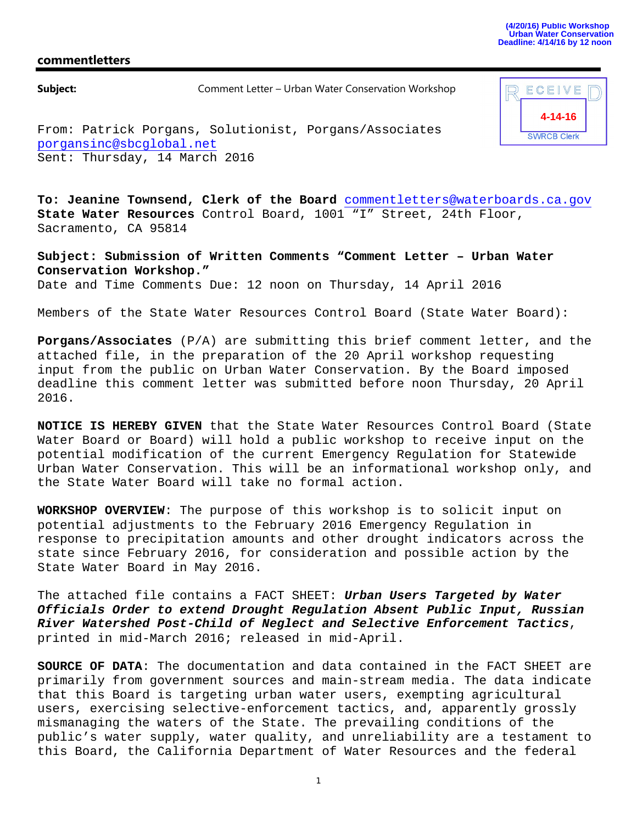## **commentletters**

**Subject:** Comment Letter – Urban Water Conservation Workshop



From: Patrick Porgans, Solutionist, Porgans/Associates porgansinc@sbcglobal.net Sent: Thursday, 14 March 2016

**To: Jeanine Townsend, Clerk of the Board** commentletters@waterboards.ca.gov **State Water Resources** Control Board, 1001 "I" Street, 24th Floor, Sacramento, CA 95814

**Subject: Submission of Written Comments "Comment Letter – Urban Water Conservation Workshop."** Date and Time Comments Due: 12 noon on Thursday, 14 April 2016

Members of the State Water Resources Control Board (State Water Board):

**Porgans/Associates** (P/A) are submitting this brief comment letter, and the attached file, in the preparation of the 20 April workshop requesting input from the public on Urban Water Conservation. By the Board imposed deadline this comment letter was submitted before noon Thursday, 20 April 2016.

**NOTICE IS HEREBY GIVEN** that the State Water Resources Control Board (State Water Board or Board) will hold a public workshop to receive input on the potential modification of the current Emergency Regulation for Statewide Urban Water Conservation. This will be an informational workshop only, and the State Water Board will take no formal action.

**WORKSHOP OVERVIEW**: The purpose of this workshop is to solicit input on potential adjustments to the February 2016 Emergency Regulation in response to precipitation amounts and other drought indicators across the state since February 2016, for consideration and possible action by the State Water Board in May 2016.

The attached file contains a FACT SHEET: *Urban Users Targeted by Water Officials Order to extend Drought Regulation Absent Public Input, Russian River Watershed Post-Child of Neglect and Selective Enforcement Tactics*, printed in mid-March 2016; released in mid-April.

**SOURCE OF DATA**: The documentation and data contained in the FACT SHEET are primarily from government sources and main-stream media. The data indicate that this Board is targeting urban water users, exempting agricultural users, exercising selective-enforcement tactics, and, apparently grossly mismanaging the waters of the State. The prevailing conditions of the public's water supply, water quality, and unreliability are a testament to this Board, the California Department of Water Resources and the federal